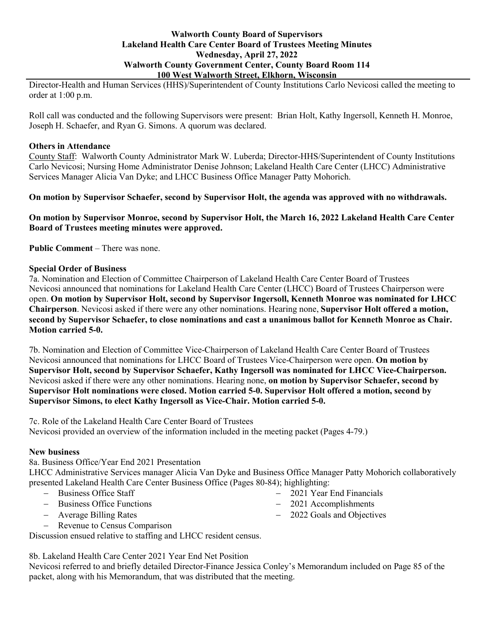## **Walworth County Board of Supervisors Lakeland Health Care Center Board of Trustees Meeting Minutes Wednesday, April 27, 2022 Walworth County Government Center, County Board Room 114 100 West Walworth Street, Elkhorn, Wisconsin**

Director-Health and Human Services (HHS)/Superintendent of County Institutions Carlo Nevicosi called the meeting to order at 1:00 p.m.

Roll call was conducted and the following Supervisors were present: Brian Holt, Kathy Ingersoll, Kenneth H. Monroe, Joseph H. Schaefer, and Ryan G. Simons. A quorum was declared.

## **Others in Attendance**

County Staff: Walworth County Administrator Mark W. Luberda; Director-HHS/Superintendent of County Institutions Carlo Nevicosi; Nursing Home Administrator Denise Johnson; Lakeland Health Care Center (LHCC) Administrative Services Manager Alicia Van Dyke; and LHCC Business Office Manager Patty Mohorich.

**On motion by Supervisor Schaefer, second by Supervisor Holt, the agenda was approved with no withdrawals.**

**On motion by Supervisor Monroe, second by Supervisor Holt, the March 16, 2022 Lakeland Health Care Center Board of Trustees meeting minutes were approved.**

**Public Comment** – There was none.

# **Special Order of Business**

7a. Nomination and Election of Committee Chairperson of Lakeland Health Care Center Board of Trustees Nevicosi announced that nominations for Lakeland Health Care Center (LHCC) Board of Trustees Chairperson were open. **On motion by Supervisor Holt, second by Supervisor Ingersoll, Kenneth Monroe was nominated for LHCC Chairperson**. Nevicosi asked if there were any other nominations. Hearing none, **Supervisor Holt offered a motion, second by Supervisor Schaefer, to close nominations and cast a unanimous ballot for Kenneth Monroe as Chair. Motion carried 5-0.**

7b. Nomination and Election of Committee Vice-Chairperson of Lakeland Health Care Center Board of Trustees Nevicosi announced that nominations for LHCC Board of Trustees Vice-Chairperson were open. **On motion by Supervisor Holt, second by Supervisor Schaefer, Kathy Ingersoll was nominated for LHCC Vice-Chairperson.** Nevicosi asked if there were any other nominations. Hearing none, **on motion by Supervisor Schaefer, second by Supervisor Holt nominations were closed. Motion carried 5-0. Supervisor Holt offered a motion, second by Supervisor Simons, to elect Kathy Ingersoll as Vice-Chair. Motion carried 5-0.**

7c. Role of the Lakeland Health Care Center Board of Trustees Nevicosi provided an overview of the information included in the meeting packet (Pages 4-79.)

#### **New business**

8a. Business Office/Year End 2021 Presentation

LHCC Administrative Services manager Alicia Van Dyke and Business Office Manager Patty Mohorich collaboratively presented Lakeland Health Care Center Business Office (Pages 80-84); highlighting:

- − Business Office Staff
- − Business Office Functions
- − Average Billing Rates
- − Revenue to Census Comparison

Discussion ensued relative to staffing and LHCC resident census.

8b. Lakeland Health Care Center 2021 Year End Net Position

Nevicosi referred to and briefly detailed Director-Finance Jessica Conley's Memorandum included on Page 85 of the packet, along with his Memorandum, that was distributed that the meeting.

- − 2021 Year End Financials
- − 2021 Accomplishments
- − 2022 Goals and Objectives